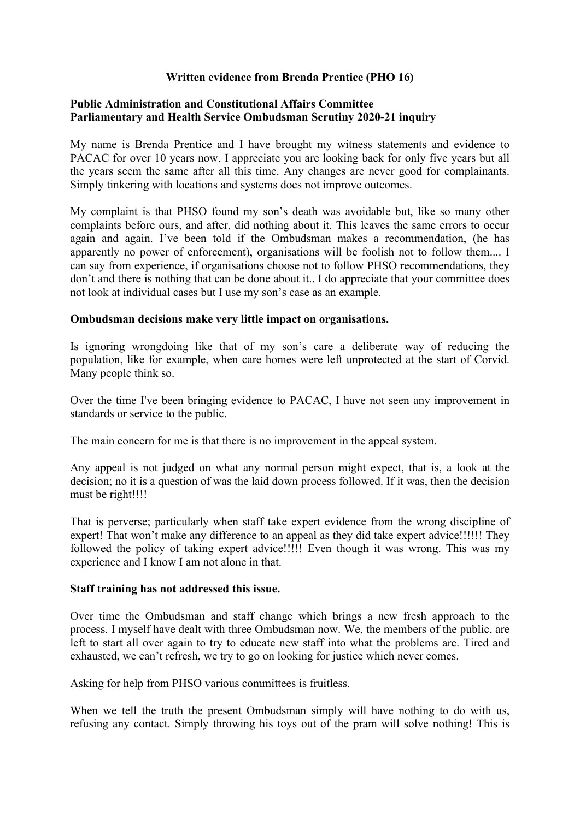## **Written evidence from Brenda Prentice (PHO 16)**

## **[Public](https://admin.committees.parliament.uk/Committee/Edit/327) [Administration](https://admin.committees.parliament.uk/Committee/Edit/327) [and](https://admin.committees.parliament.uk/Committee/Edit/327) [Constitutional](https://admin.committees.parliament.uk/Committee/Edit/327) [Affairs](https://admin.committees.parliament.uk/Committee/Edit/327) [Committee](https://admin.committees.parliament.uk/Committee/Edit/327) [Parliamentary](https://admin.committees.parliament.uk/Committee/327/CommitteeBusiness/Edit/1503) [and](https://admin.committees.parliament.uk/Committee/327/CommitteeBusiness/Edit/1503) [Health](https://admin.committees.parliament.uk/Committee/327/CommitteeBusiness/Edit/1503) [Service](https://admin.committees.parliament.uk/Committee/327/CommitteeBusiness/Edit/1503) [Ombudsman](https://admin.committees.parliament.uk/Committee/327/CommitteeBusiness/Edit/1503) [Scrutiny](https://admin.committees.parliament.uk/Committee/327/CommitteeBusiness/Edit/1503) [2020-21](https://admin.committees.parliament.uk/Committee/327/CommitteeBusiness/Edit/1503) inquiry**

My name is Brenda Prentice and I have brought my witness statements and evidence to PACAC for over 10 years now. I appreciate you are looking back for only five years but all the years seem the same after all this time. Any changes are never good for complainants. Simply tinkering with locations and systems does not improve outcomes.

My complaint is that PHSO found my son's death was avoidable but, like so many other complaints before ours, and after, did nothing about it. This leaves the same errors to occur again and again. I've been told if the Ombudsman makes a recommendation, (he has apparently no power of enforcement), organisations will be foolish not to follow them.... I can say from experience, if organisations choose not to follow PHSO recommendations, they don't and there is nothing that can be done about it.. I do appreciate that your committee does not look at individual cases but I use my son's case as an example.

## **Ombudsman decisions make very little impact on organisations.**

Is ignoring wrongdoing like that of my son's care a deliberate way of reducing the population, like for example, when care homes were left unprotected at the start of Corvid. Many people think so.

Over the time I've been bringing evidence to PACAC, I have not seen any improvement in standards or service to the public.

The main concern for me is that there is no improvement in the appeal system.

Any appeal is not judged on what any normal person might expect, that is, a look at the decision; no it is a question of was the laid down process followed. If it was, then the decision must be right!!!!

That is perverse; particularly when staff take expert evidence from the wrong discipline of expert! That won't make any difference to an appeal as they did take expert advice!!!!!! They followed the policy of taking expert advice!!!!! Even though it was wrong. This was my experience and I know I am not alone in that.

## **Staff training has not addressed this issue.**

Over time the Ombudsman and staff change which brings a new fresh approach to the process. I myself have dealt with three Ombudsman now. We, the members of the public, are left to start all over again to try to educate new staff into what the problems are. Tired and exhausted, we can't refresh, we try to go on looking for justice which never comes.

Asking for help from PHSO various committees is fruitless.

When we tell the truth the present Ombudsman simply will have nothing to do with us, refusing any contact. Simply throwing his toys out of the pram will solve nothing! This is